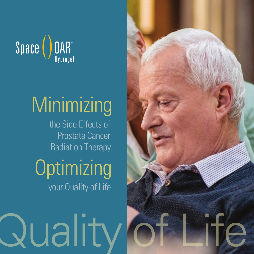

## **Minimizing**

the Side Effects of Prostate Cancer Radiation Therapy.

### **Optimizing** your Quality of Life.

uality)

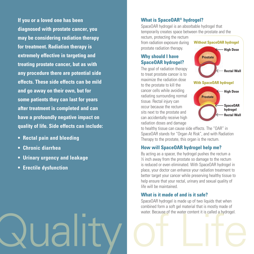**If you or a loved one has been diagnosed with prostate cancer, you may be considering radiation therapy for treatment. Radiation therapy is extremely effective in targeting and treating prostate cancer, but as with any procedure there are potential side effects. These side effects can be mild and go away on their own, but for some patients they can last for years after treatment is completed and can have a profoundly negative impact on quality of life. Side effects can include:**

- **Rectal pain and bleeding**
- **Chronic diarrhea**
- **Urinary urgency and leakage**
- **Erectile dysfunction**

#### **What is SpaceOAR® hydrogel?**

SpaceOAR hydrogel is an absorbable hydrogel that temporarily creates space between the prostate and the

rectum, protecting the rectum from radiation exposure during prostate radiation therapy.

#### **Why should I have SpaceOAR hydrogel?**

The goal of radiation therapy to treat prostate cancer is to maximize the radiation dose to the prostate to kill the cancer cells while avoiding radiating surrounding normal tissue. Rectal injury can occur because the rectum sits next to the prostate and can accidentally receive high radiation doses and damage



**hydrogel Rectal Wall**

to healthy tissue can cause side effects. The "OAR" in SpaceOAR stands for "Organ At Risk", and with Radiation Therapy to the prostate, this organ is the rectum.

#### **How will SpaceOAR hydrogel help me?**

By acting as a spacer, the hydrogel pushes the rectum a ½ inch away from the prostate so damage to the rectum is reduced or even eliminated. With SpaceOAR hydrogel in place, your doctor can enhance your radiation treatment to better target your cancer while preserving healthy tissue to help ensure that your rectal, urinary and sexual quality of life will be maintained.

#### **What is it made of and is it safe?**

water. Because of the water content it is called a hydrogel. SpaceOAR hydrogel is made up of two liquids that when combined form a soft gel material that is mostly made of water. Because of the water content it is called a hydrogel.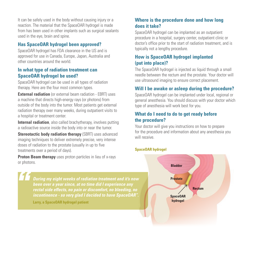It can be safely used in the body without causing injury or a reaction. The material that the SpaceOAR hydrogel is made from has been used in other implants such as surgical sealants used in the eye, brain and spine.

#### **Has SpaceOAR hydrogel been approved?**

SpaceOAR hydrogel has FDA clearance in the US and is approved for use in Canada, Europe, Japan, Australia and other countries around the world.

#### **In what type of radiation treatment can SpaceOAR hydrogel be used?**

SpaceOAR hydrogel can be used in all types of radiation therapy. Here are the four most common types.

**External radiation** (or external beam radiation - EBRT) uses a machine that directs high-energy rays (or photons) from outside of the body into the tumor. Most patients get external radiation therapy over many weeks, during outpatient visits to a hospital or treatment center.

**Internal radiation**, also called brachytherapy, involves putting a radioactive source inside the body into or near the tumor.

**Stereotactic body radiation therapy** (SBRT) uses advanced imaging techniques to deliver extremely precise, very intense doses of radiation to the prostate (usually in up to five treatments over a period of days).

**Proton Beam therapy** uses proton particles in lieu of x-rays or photons.

> *" During my eight weeks of radiation treatment and it's now been over a year since, at no time did I experience any rectal side effects, no pain or discomfort, no bleeding, no incontinence - so very glad I decided to have SpaceOAR".*

**Larry, a SpaceOAR hydrogel patient**

#### **Where is the procedure done and how long does it take?**

SpaceOAR hydrogel can be implanted as an outpatient procedure in a hospital, surgery center, outpatient clinic or doctor's office prior to the start of radiation treatment, and is typically not a lengthy procedure.

#### **How is SpaceOAR hydrogel implanted (put into place)?**

The SpaceOAR hydrogel is injected as liquid through a small needle between the rectum and the prostate. Your doctor will use ultrasound imaging to ensure correct placement.

#### **Will I be awake or asleep during the procedure?**

SpaceOAR hydrogel can be implanted under local, regional or general anesthesia. You should discuss with your doctor which type of anesthesia will work best for you.

#### **What do I need to do to get ready before the procedure?**

Your doctor will give you instructions on how to prepare for the procedure and information about any anesthesia you will receive.

#### **SpaceOAR hydrogel**

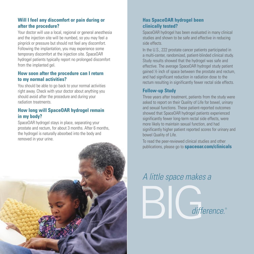#### **Will I feel any discomfort or pain during or after the procedure?**

Your doctor will use a local, regional or general anesthesia and the injection site will be numbed, so you may feel a pinprick or pressure but should not feel any discomfort. Following the implantation, you may experience some temporary discomfort at the injection site. SpaceOAR hydrogel patients typically report no prolonged discomfort from the implanted gel.

#### **How soon after the procedure can I return to my normal activities?**

You should be able to go back to your normal activities right away. Check with your doctor about anything you should avoid after the procedure and during your radiation treatments.

#### **How long will SpaceOAR hydrogel remain in my body?**

SpaceOAR hydrogel stays in place, separating your prostate and rectum, for about 3 months. After 6 months, the hydrogel is naturally absorbed into the body and removed in your urine.



#### **Has SpaceOAR hydrogel been clinically tested?**

SpaceOAR hydrogel has been evaluated in many clinical studies and shown to be safe and effective in reducing side effects.

In the U.S., 222 prostate cancer patients participated in a multi-center, randomized, patient-blinded clinical study. Study results showed that the hydrogel was safe and effective. The average SpaceOAR hydrogel study patient gained ½ inch of space between the prostate and rectum, and had significant reduction in radiation dose to the rectum resulting in significantly fewer rectal side effects.

#### **Follow-up Study**

Three years after treatment, patients from the study were asked to report on their Quality of Life for bowel, urinary and sexual functions. These patient-reported outcomes showed that SpaceOAR hydrogel patients experienced significantly fewer long-term rectal side effects, were more likely to maintain sexual function, and had significantly higher patient reported scores for urinary and bowel Quality of Life.

To read the peer-reviewed clinical studies and other publications, please go to **spaceoar.com/clinicals**

# BIG*difference.*® *A little space makes a*